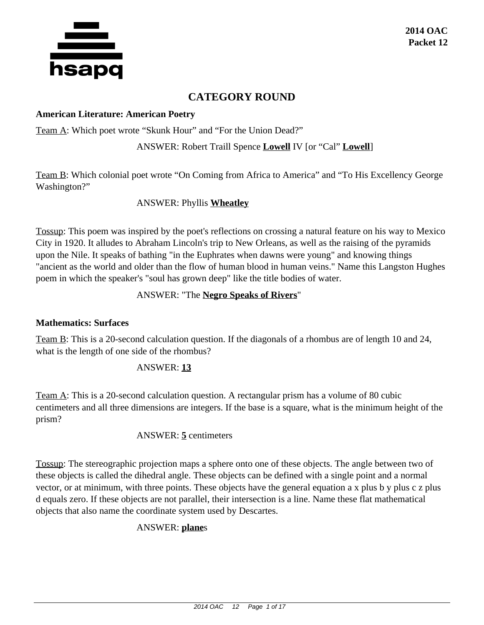

# **CATEGORY ROUND**

#### **American Literature: American Poetry**

Team A: Which poet wrote "Skunk Hour" and "For the Union Dead?"

ANSWER: Robert Traill Spence **Lowell** IV [or "Cal" **Lowell**]

Team B: Which colonial poet wrote "On Coming from Africa to America" and "To His Excellency George Washington?"

# ANSWER: Phyllis **Wheatley**

Tossup: This poem was inspired by the poet's reflections on crossing a natural feature on his way to Mexico City in 1920. It alludes to Abraham Lincoln's trip to New Orleans, as well as the raising of the pyramids upon the Nile. It speaks of bathing "in the Euphrates when dawns were young" and knowing things "ancient as the world and older than the flow of human blood in human veins." Name this Langston Hughes poem in which the speaker's "soul has grown deep" like the title bodies of water.

# ANSWER: "The **Negro Speaks of Rivers**"

## **Mathematics: Surfaces**

Team B: This is a 20-second calculation question. If the diagonals of a rhombus are of length 10 and 24, what is the length of one side of the rhombus?

# ANSWER: **13**

Team A: This is a 20-second calculation question. A rectangular prism has a volume of 80 cubic centimeters and all three dimensions are integers. If the base is a square, what is the minimum height of the prism?

## ANSWER: **5** centimeters

Tossup: The stereographic projection maps a sphere onto one of these objects. The angle between two of these objects is called the dihedral angle. These objects can be defined with a single point and a normal vector, or at minimum, with three points. These objects have the general equation a x plus b y plus c z plus d equals zero. If these objects are not parallel, their intersection is a line. Name these flat mathematical objects that also name the coordinate system used by Descartes.

# ANSWER: **plane**s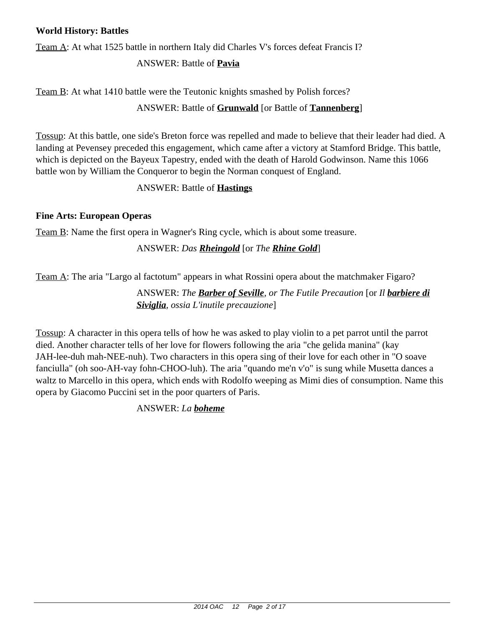## **World History: Battles**

Team A: At what 1525 battle in northern Italy did Charles V's forces defeat Francis I?

# ANSWER: Battle of **Pavia**

Team B: At what 1410 battle were the Teutonic knights smashed by Polish forces?

# ANSWER: Battle of **Grunwald** [or Battle of **Tannenberg**]

Tossup: At this battle, one side's Breton force was repelled and made to believe that their leader had died. A landing at Pevensey preceded this engagement, which came after a victory at Stamford Bridge. This battle, which is depicted on the Bayeux Tapestry, ended with the death of Harold Godwinson. Name this 1066 battle won by William the Conqueror to begin the Norman conquest of England.

# ANSWER: Battle of **Hastings**

# **Fine Arts: European Operas**

Team B: Name the first opera in Wagner's Ring cycle, which is about some treasure.

# ANSWER: *Das Rheingold* [or *The Rhine Gold*]

Team A: The aria "Largo al factotum" appears in what Rossini opera about the matchmaker Figaro?

ANSWER: *The Barber of Seville, or The Futile Precaution* [or *Il barbiere di Siviglia, ossia L'inutile precauzione*]

Tossup: A character in this opera tells of how he was asked to play violin to a pet parrot until the parrot died. Another character tells of her love for flowers following the aria "che gelida manina" (kay JAH-lee-duh mah-NEE-nuh). Two characters in this opera sing of their love for each other in "O soave fanciulla" (oh soo-AH-vay fohn-CHOO-luh). The aria "quando me'n v'o" is sung while Musetta dances a waltz to Marcello in this opera, which ends with Rodolfo weeping as Mimi dies of consumption. Name this opera by Giacomo Puccini set in the poor quarters of Paris.

ANSWER: *La boheme*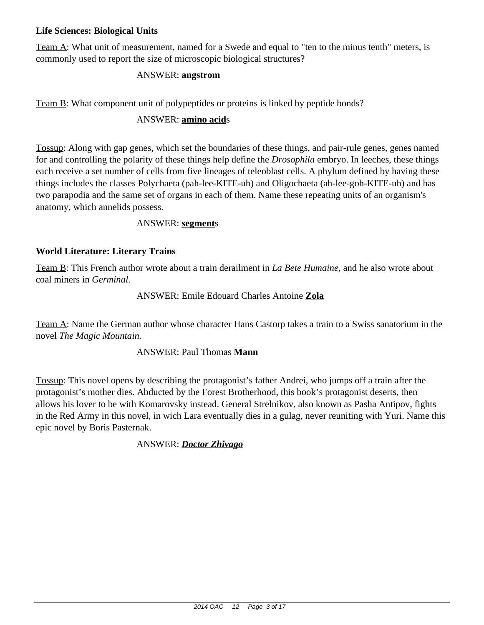# **Life Sciences: Biological Units**

Team A: What unit of measurement, named for a Swede and equal to "ten to the minus tenth" meters, is commonly used to report the size of microscopic biological structures?

## ANSWER: **angstrom**

Team B: What component unit of polypeptides or proteins is linked by peptide bonds?

## ANSWER: **amino acid**s

Tossup: Along with gap genes, which set the boundaries of these things, and pair-rule genes, genes named for and controlling the polarity of these things help define the *Drosophila* embryo. In leeches, these things each receive a set number of cells from five lineages of teleoblast cells. A phylum defined by having these things includes the classes Polychaeta (pah-lee-KITE-uh) and Oligochaeta (ah-lee-goh-KITE-uh) and has two parapodia and the same set of organs in each of them. Name these repeating units of an organism's anatomy, which annelids possess.

#### ANSWER: **segment**s

# **World Literature: Literary Trains**

Team B: This French author wrote about a train derailment in *La Bete Humaine,* and he also wrote about coal miners in *Germinal.*

#### ANSWER: Emile Edouard Charles Antoine **Zola**

Team A: Name the German author whose character Hans Castorp takes a train to a Swiss sanatorium in the novel *The Magic Mountain.*

## ANSWER: Paul Thomas **Mann**

Tossup: This novel opens by describing the protagonist's father Andrei, who jumps off a train after the protagonist's mother dies. Abducted by the Forest Brotherhood, this book's protagonist deserts, then allows his lover to be with Komarovsky instead. General Strelnikov, also known as Pasha Antipov, fights in the Red Army in this novel, in wich Lara eventually dies in a gulag, never reuniting with Yuri. Name this epic novel by Boris Pasternak.

ANSWER: *Doctor Zhivago*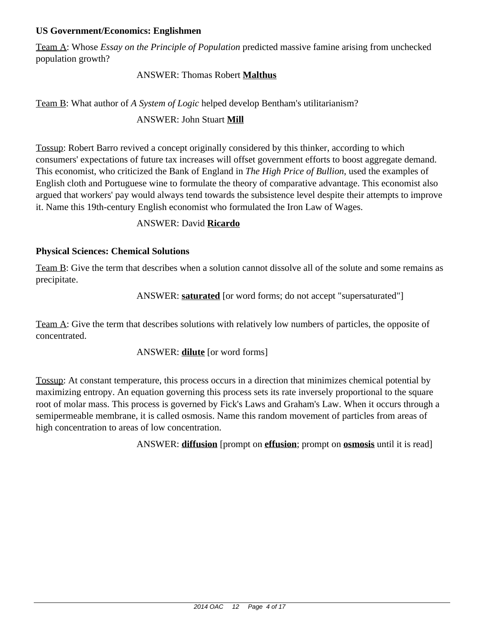## **US Government/Economics: Englishmen**

Team A: Whose *Essay on the Principle of Population* predicted massive famine arising from unchecked population growth?

# ANSWER: Thomas Robert **Malthus**

# Team B: What author of *A System of Logic* helped develop Bentham's utilitarianism?

# ANSWER: John Stuart **Mill**

Tossup: Robert Barro revived a concept originally considered by this thinker, according to which consumers' expectations of future tax increases will offset government efforts to boost aggregate demand. This economist, who criticized the Bank of England in *The High Price of Bullion*, used the examples of English cloth and Portuguese wine to formulate the theory of comparative advantage. This economist also argued that workers' pay would always tend towards the subsistence level despite their attempts to improve it. Name this 19th-century English economist who formulated the Iron Law of Wages.

# ANSWER: David **Ricardo**

# **Physical Sciences: Chemical Solutions**

Team B: Give the term that describes when a solution cannot dissolve all of the solute and some remains as precipitate.

# ANSWER: **saturated** [or word forms; do not accept "supersaturated"]

Team A: Give the term that describes solutions with relatively low numbers of particles, the opposite of concentrated.

## ANSWER: **dilute** [or word forms]

Tossup: At constant temperature, this process occurs in a direction that minimizes chemical potential by maximizing entropy. An equation governing this process sets its rate inversely proportional to the square root of molar mass. This process is governed by Fick's Laws and Graham's Law. When it occurs through a semipermeable membrane, it is called osmosis. Name this random movement of particles from areas of high concentration to areas of low concentration.

ANSWER: **diffusion** [prompt on **effusion**; prompt on **osmosis** until it is read]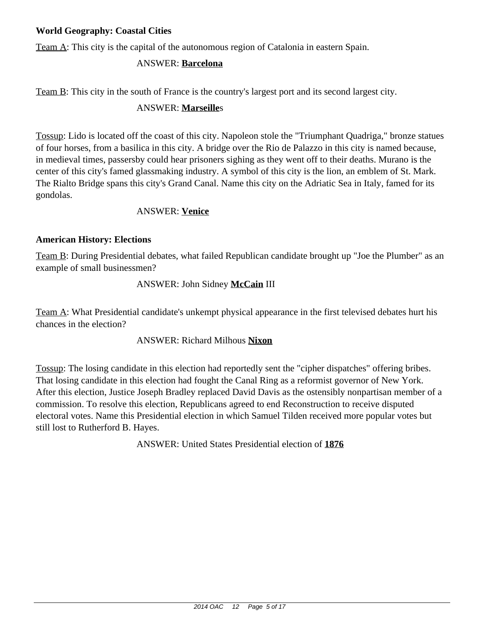# **World Geography: Coastal Cities**

Team A: This city is the capital of the autonomous region of Catalonia in eastern Spain.

# ANSWER: **Barcelona**

Team B: This city in the south of France is the country's largest port and its second largest city.

# ANSWER: **Marseille**s

Tossup: Lido is located off the coast of this city. Napoleon stole the "Triumphant Quadriga," bronze statues of four horses, from a basilica in this city. A bridge over the Rio de Palazzo in this city is named because, in medieval times, passersby could hear prisoners sighing as they went off to their deaths. Murano is the center of this city's famed glassmaking industry. A symbol of this city is the lion, an emblem of St. Mark. The Rialto Bridge spans this city's Grand Canal. Name this city on the Adriatic Sea in Italy, famed for its gondolas.

# ANSWER: **Venice**

## **American History: Elections**

Team B: During Presidential debates, what failed Republican candidate brought up "Joe the Plumber" as an example of small businessmen?

# ANSWER: John Sidney **McCain** III

Team A: What Presidential candidate's unkempt physical appearance in the first televised debates hurt his chances in the election?

## ANSWER: Richard Milhous **Nixon**

Tossup: The losing candidate in this election had reportedly sent the "cipher dispatches" offering bribes. That losing candidate in this election had fought the Canal Ring as a reformist governor of New York. After this election, Justice Joseph Bradley replaced David Davis as the ostensibly nonpartisan member of a commission. To resolve this election, Republicans agreed to end Reconstruction to receive disputed electoral votes. Name this Presidential election in which Samuel Tilden received more popular votes but still lost to Rutherford B. Hayes.

ANSWER: United States Presidential election of **1876**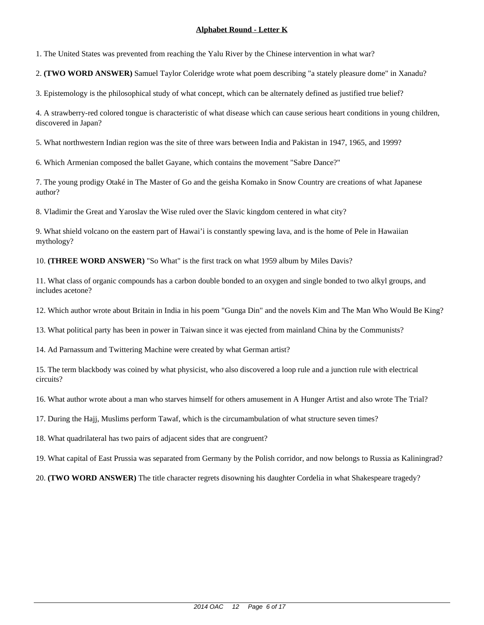1. The United States was prevented from reaching the Yalu River by the Chinese intervention in what war?

2. **(TWO WORD ANSWER)** Samuel Taylor Coleridge wrote what poem describing "a stately pleasure dome" in Xanadu?

3. Epistemology is the philosophical study of what concept, which can be alternately defined as justified true belief?

4. A strawberry-red colored tongue is characteristic of what disease which can cause serious heart conditions in young children, discovered in Japan?

5. What northwestern Indian region was the site of three wars between India and Pakistan in 1947, 1965, and 1999?

6. Which Armenian composed the ballet Gayane, which contains the movement "Sabre Dance?"

7. The young prodigy Otaké in The Master of Go and the geisha Komako in Snow Country are creations of what Japanese author?

8. Vladimir the Great and Yaroslav the Wise ruled over the Slavic kingdom centered in what city?

9. What shield volcano on the eastern part of Hawai'i is constantly spewing lava, and is the home of Pele in Hawaiian mythology?

10. **(THREE WORD ANSWER)** "So What" is the first track on what 1959 album by Miles Davis?

11. What class of organic compounds has a carbon double bonded to an oxygen and single bonded to two alkyl groups, and includes acetone?

12. Which author wrote about Britain in India in his poem "Gunga Din" and the novels Kim and The Man Who Would Be King?

13. What political party has been in power in Taiwan since it was ejected from mainland China by the Communists?

14. Ad Parnassum and Twittering Machine were created by what German artist?

15. The term blackbody was coined by what physicist, who also discovered a loop rule and a junction rule with electrical circuits?

16. What author wrote about a man who starves himself for others amusement in A Hunger Artist and also wrote The Trial?

17. During the Hajj, Muslims perform Tawaf, which is the circumambulation of what structure seven times?

18. What quadrilateral has two pairs of adjacent sides that are congruent?

19. What capital of East Prussia was separated from Germany by the Polish corridor, and now belongs to Russia as Kaliningrad?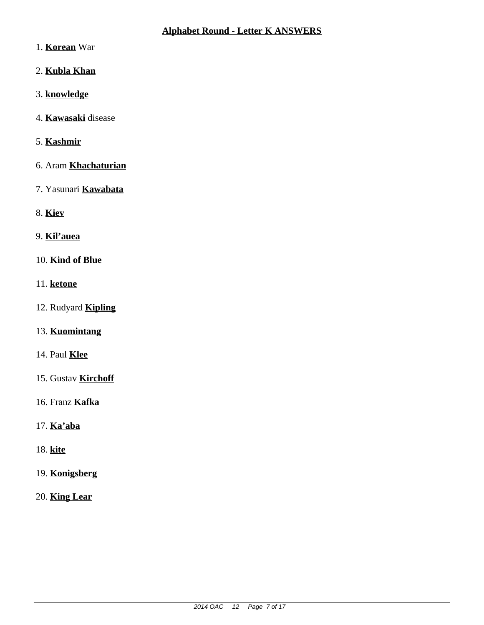## **Alphabet Round - Letter K ANSWERS**

- 1. **Korean** War
- 2. **Kubla Khan**
- 3. **knowledge**
- 4. **Kawasaki** disease
- 5. **Kashmir**
- 6. Aram **Khachaturian**
- 7. Yasunari **Kawabata**
- 8. **Kiev**
- 9. **Kil'auea**
- 10. **Kind of Blue**
- 11. **ketone**
- 12. Rudyard **Kipling**
- 13. **Kuomintang**
- 14. Paul **Klee**
- 15. Gustav **Kirchoff**
- 16. Franz **Kafka**
- 17. **Ka'aba**
- 18. **kite**
- 19. **Konigsberg**
- 20. **King Lear**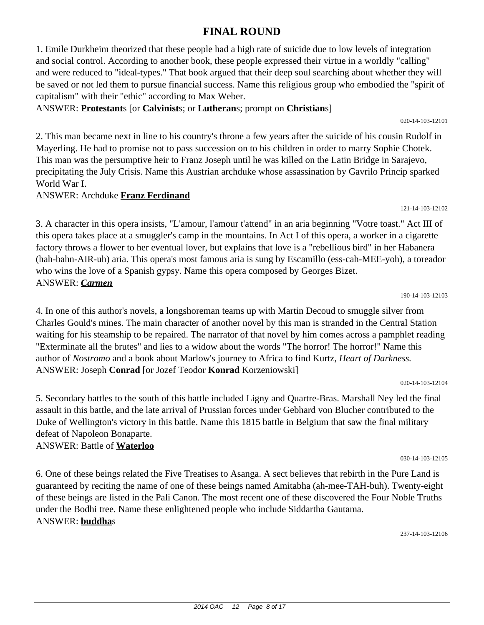#### 2014 OAC 12 Page 8 of 17

# **FINAL ROUND**

1. Emile Durkheim theorized that these people had a high rate of suicide due to low levels of integration and social control. According to another book, these people expressed their virtue in a worldly "calling" and were reduced to "ideal-types." That book argued that their deep soul searching about whether they will be saved or not led them to pursue financial success. Name this religious group who embodied the "spirit of capitalism" with their "ethic" according to Max Weber.

ANSWER: **Protestant**s [or **Calvinist**s; or **Lutheran**s; prompt on **Christian**s]

2. This man became next in line to his country's throne a few years after the suicide of his cousin Rudolf in Mayerling. He had to promise not to pass succession on to his children in order to marry Sophie Chotek. This man was the persumptive heir to Franz Joseph until he was killed on the Latin Bridge in Sarajevo, precipitating the July Crisis. Name this Austrian archduke whose assassination by Gavrilo Princip sparked World War I.

#### ANSWER: Archduke **Franz Ferdinand**

3. A character in this opera insists, "L'amour, l'amour t'attend" in an aria beginning "Votre toast." Act III of this opera takes place at a smuggler's camp in the mountains. In Act I of this opera, a worker in a cigarette factory throws a flower to her eventual lover, but explains that love is a "rebellious bird" in her Habanera (hah-bahn-AIR-uh) aria. This opera's most famous aria is sung by Escamillo (ess-cah-MEE-yoh), a toreador who wins the love of a Spanish gypsy. Name this opera composed by Georges Bizet. ANSWER: *Carmen*

4. In one of this author's novels, a longshoreman teams up with Martin Decoud to smuggle silver from Charles Gould's mines. The main character of another novel by this man is stranded in the Central Station waiting for his steamship to be repaired. The narrator of that novel by him comes across a pamphlet reading "Exterminate all the brutes" and lies to a widow about the words "The horror! The horror!" Name this author of *Nostromo* and a book about Marlow's journey to Africa to find Kurtz, *Heart of Darkness.* ANSWER: Joseph **Conrad** [or Jozef Teodor **Konrad** Korzeniowski]

5. Secondary battles to the south of this battle included Ligny and Quartre-Bras. Marshall Ney led the final assault in this battle, and the late arrival of Prussian forces under Gebhard von Blucher contributed to the Duke of Wellington's victory in this battle. Name this 1815 battle in Belgium that saw the final military defeat of Napoleon Bonaparte.

#### ANSWER: Battle of **Waterloo**

6. One of these beings related the Five Treatises to Asanga. A sect believes that rebirth in the Pure Land is guaranteed by reciting the name of one of these beings named Amitabha (ah-mee-TAH-buh). Twenty-eight of these beings are listed in the Pali Canon. The most recent one of these discovered the Four Noble Truths under the Bodhi tree. Name these enlightened people who include Siddartha Gautama. ANSWER: **buddha**s

237-14-103-12106

020-14-103-12104

190-14-103-12103

030-14-103-12105

121-14-103-12102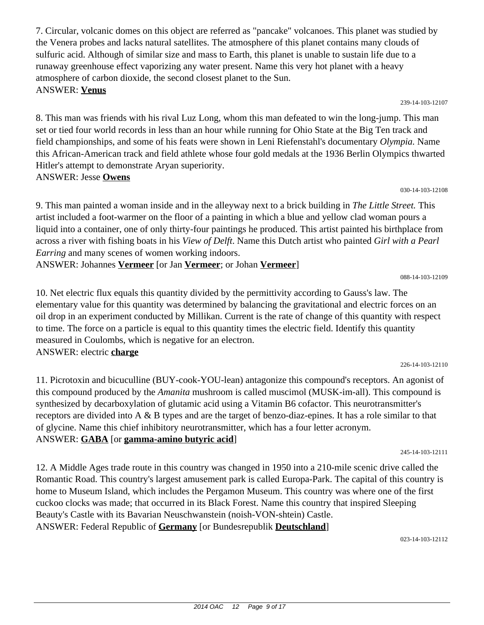7. Circular, volcanic domes on this object are referred as "pancake" volcanoes. This planet was studied by the Venera probes and lacks natural satellites. The atmosphere of this planet contains many clouds of sulfuric acid. Although of similar size and mass to Earth, this planet is unable to sustain life due to a runaway greenhouse effect vaporizing any water present. Name this very hot planet with a heavy atmosphere of carbon dioxide, the second closest planet to the Sun. ANSWER: **Venus**

239-14-103-12107

8. This man was friends with his rival Luz Long, whom this man defeated to win the long-jump. This man set or tied four world records in less than an hour while running for Ohio State at the Big Ten track and field championships, and some of his feats were shown in Leni Riefenstahl's documentary *Olympia.* Name this African-American track and field athlete whose four gold medals at the 1936 Berlin Olympics thwarted Hitler's attempt to demonstrate Aryan superiority. ANSWER: Jesse **Owens**

030-14-103-12108

9. This man painted a woman inside and in the alleyway next to a brick building in *The Little Street.* This artist included a foot-warmer on the floor of a painting in which a blue and yellow clad woman pours a liquid into a container, one of only thirty-four paintings he produced. This artist painted his birthplace from across a river with fishing boats in his *View of Delft*. Name this Dutch artist who painted *Girl with a Pearl Earring* and many scenes of women working indoors.

ANSWER: Johannes **Vermeer** [or Jan **Vermeer**; or Johan **Vermeer**]

10. Net electric flux equals this quantity divided by the permittivity according to Gauss's law. The elementary value for this quantity was determined by balancing the gravitational and electric forces on an oil drop in an experiment conducted by Millikan. Current is the rate of change of this quantity with respect to time. The force on a particle is equal to this quantity times the electric field. Identify this quantity measured in Coulombs, which is negative for an electron. ANSWER: electric **charge**

11. Picrotoxin and bicuculline (BUY-cook-YOU-lean) antagonize this compound's receptors. An agonist of this compound produced by the *Amanita* mushroom is called muscimol (MUSK-im-all). This compound is synthesized by decarboxylation of glutamic acid using a Vitamin B6 cofactor. This neurotransmitter's receptors are divided into A & B types and are the target of benzo-diaz-epines. It has a role similar to that of glycine. Name this chief inhibitory neurotransmitter, which has a four letter acronym. ANSWER: **GABA** [or **gamma-amino butyric acid**]

245-14-103-12111

12. A Middle Ages trade route in this country was changed in 1950 into a 210-mile scenic drive called the Romantic Road. This country's largest amusement park is called Europa-Park. The capital of this country is home to Museum Island, which includes the Pergamon Museum. This country was where one of the first cuckoo clocks was made; that occurred in its Black Forest. Name this country that inspired Sleeping Beauty's Castle with its Bavarian Neuschwanstein (noish-VON-shtein) Castle. ANSWER: Federal Republic of **Germany** [or Bundesrepublik **Deutschland**]

023-14-103-12112

226-14-103-12110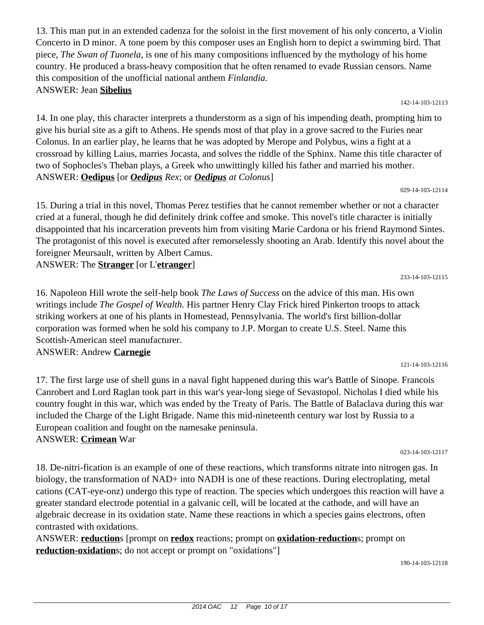13. This man put in an extended cadenza for the soloist in the first movement of his only concerto, a Violin Concerto in D minor. A tone poem by this composer uses an English horn to depict a swimming bird. That piece, *The Swan of Tuonela,* is one of his many compositions influenced by the mythology of his home country. He produced a brass-heavy composition that he often renamed to evade Russian censors. Name this composition of the unofficial national anthem *Finlandia.* ANSWER: Jean **Sibelius**

14. In one play, this character interprets a thunderstorm as a sign of his impending death, prompting him to give his burial site as a gift to Athens. He spends most of that play in a grove sacred to the Furies near Colonus. In an earlier play, he learns that he was adopted by Merope and Polybus, wins a fight at a crossroad by killing Laius, marries Jocasta, and solves the riddle of the Sphinx. Name this title character of two of Sophocles's Theban plays, a Greek who unwittingly killed his father and married his mother. ANSWER: **Oedipus** [or *Oedipus Rex*; or *Oedipus at Colonus*] 029-14-103-12114

15. During a trial in this novel, Thomas Perez testifies that he cannot remember whether or not a character cried at a funeral, though he did definitely drink coffee and smoke. This novel's title character is initially disappointed that his incarceration prevents him from visiting Marie Cardona or his friend Raymond Sintes. The protagonist of this novel is executed after remorselessly shooting an Arab. Identify this novel about the foreigner Meursault, written by Albert Camus.

ANSWER: The **Stranger** [or L'**etranger**]

16. Napoleon Hill wrote the self-help book *The Laws of Success* on the advice of this man. His own writings include *The Gospel of Wealth.* His partner Henry Clay Frick hired Pinkerton troops to attack striking workers at one of his plants in Homestead, Pennsylvania. The world's first billion-dollar corporation was formed when he sold his company to J.P. Morgan to create U.S. Steel. Name this Scottish-American steel manufacturer.

ANSWER: Andrew **Carnegie**

17. The first large use of shell guns in a naval fight happened during this war's Battle of Sinope. Francois Canrobert and Lord Raglan took part in this war's year-long siege of Sevastopol. Nicholas I died while his country fought in this war, which was ended by the Treaty of Paris. The Battle of Balaclava during this war included the Charge of the Light Brigade. Name this mid-nineteenth century war lost by Russia to a European coalition and fought on the namesake peninsula. ANSWER: **Crimean** War

18. De-nitri-fication is an example of one of these reactions, which transforms nitrate into nitrogen gas. In biology, the transformation of NAD+ into NADH is one of these reactions. During electroplating, metal cations (CAT-eye-onz) undergo this type of reaction. The species which undergoes this reaction will have a greater standard electrode potential in a galvanic cell, will be located at the cathode, and will have an algebraic decrease in its oxidation state. Name these reactions in which a species gains electrons, often contrasted with oxidations.

ANSWER: **reduction**s [prompt on **redox** reactions; prompt on **oxidation-reduction**s; prompt on **reduction-oxidation**s; do not accept or prompt on "oxidations"]

233-14-103-12115

121-14-103-12116

142-14-103-12113

023-14-103-12117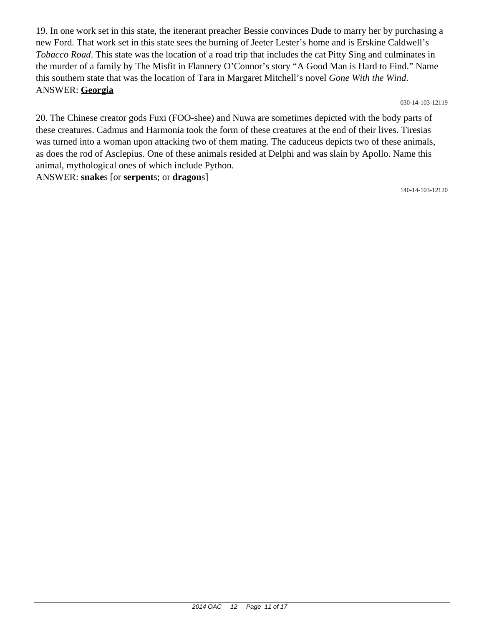19. In one work set in this state, the itenerant preacher Bessie convinces Dude to marry her by purchasing a new Ford. That work set in this state sees the burning of Jeeter Lester's home and is Erskine Caldwell's *Tobacco Road*. This state was the location of a road trip that includes the cat Pitty Sing and culminates in the murder of a family by The Misfit in Flannery O'Connor's story "A Good Man is Hard to Find." Name this southern state that was the location of Tara in Margaret Mitchell's novel *Gone With the Wind*. ANSWER: **Georgia**

030-14-103-12119

20. The Chinese creator gods Fuxi (FOO-shee) and Nuwa are sometimes depicted with the body parts of these creatures. Cadmus and Harmonia took the form of these creatures at the end of their lives. Tiresias was turned into a woman upon attacking two of them mating. The caduceus depicts two of these animals, as does the rod of Asclepius. One of these animals resided at Delphi and was slain by Apollo. Name this animal, mythological ones of which include Python.

ANSWER: **snake**s [or **serpent**s; or **dragon**s]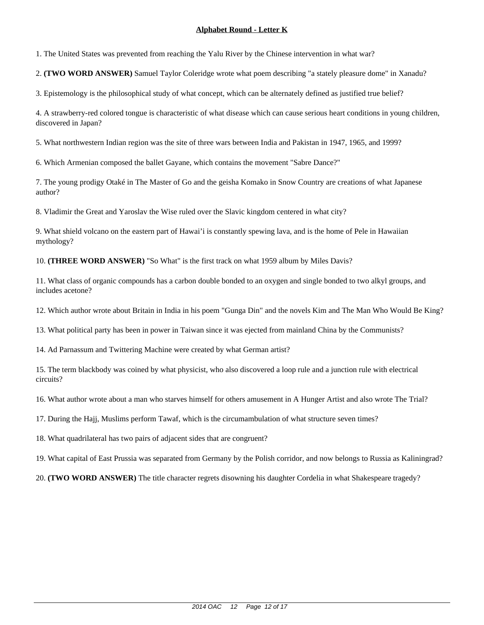1. The United States was prevented from reaching the Yalu River by the Chinese intervention in what war?

2. **(TWO WORD ANSWER)** Samuel Taylor Coleridge wrote what poem describing "a stately pleasure dome" in Xanadu?

3. Epistemology is the philosophical study of what concept, which can be alternately defined as justified true belief?

4. A strawberry-red colored tongue is characteristic of what disease which can cause serious heart conditions in young children, discovered in Japan?

5. What northwestern Indian region was the site of three wars between India and Pakistan in 1947, 1965, and 1999?

6. Which Armenian composed the ballet Gayane, which contains the movement "Sabre Dance?"

7. The young prodigy Otaké in The Master of Go and the geisha Komako in Snow Country are creations of what Japanese author?

8. Vladimir the Great and Yaroslav the Wise ruled over the Slavic kingdom centered in what city?

9. What shield volcano on the eastern part of Hawai'i is constantly spewing lava, and is the home of Pele in Hawaiian mythology?

10. **(THREE WORD ANSWER)** "So What" is the first track on what 1959 album by Miles Davis?

11. What class of organic compounds has a carbon double bonded to an oxygen and single bonded to two alkyl groups, and includes acetone?

12. Which author wrote about Britain in India in his poem "Gunga Din" and the novels Kim and The Man Who Would Be King?

13. What political party has been in power in Taiwan since it was ejected from mainland China by the Communists?

14. Ad Parnassum and Twittering Machine were created by what German artist?

15. The term blackbody was coined by what physicist, who also discovered a loop rule and a junction rule with electrical circuits?

16. What author wrote about a man who starves himself for others amusement in A Hunger Artist and also wrote The Trial?

17. During the Hajj, Muslims perform Tawaf, which is the circumambulation of what structure seven times?

18. What quadrilateral has two pairs of adjacent sides that are congruent?

19. What capital of East Prussia was separated from Germany by the Polish corridor, and now belongs to Russia as Kaliningrad?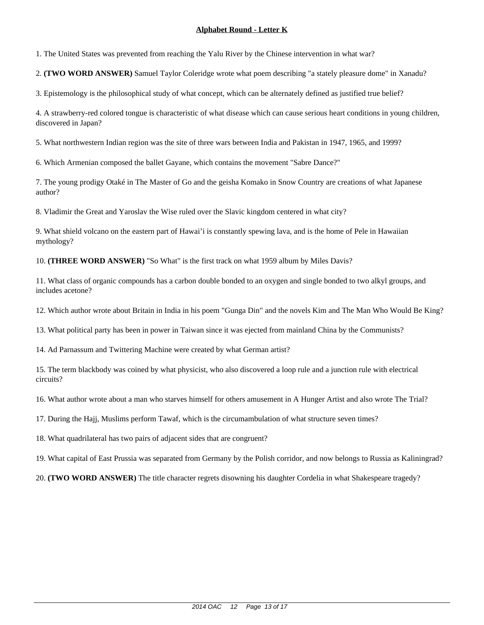1. The United States was prevented from reaching the Yalu River by the Chinese intervention in what war?

2. **(TWO WORD ANSWER)** Samuel Taylor Coleridge wrote what poem describing "a stately pleasure dome" in Xanadu?

3. Epistemology is the philosophical study of what concept, which can be alternately defined as justified true belief?

4. A strawberry-red colored tongue is characteristic of what disease which can cause serious heart conditions in young children, discovered in Japan?

5. What northwestern Indian region was the site of three wars between India and Pakistan in 1947, 1965, and 1999?

6. Which Armenian composed the ballet Gayane, which contains the movement "Sabre Dance?"

7. The young prodigy Otaké in The Master of Go and the geisha Komako in Snow Country are creations of what Japanese author?

8. Vladimir the Great and Yaroslav the Wise ruled over the Slavic kingdom centered in what city?

9. What shield volcano on the eastern part of Hawai'i is constantly spewing lava, and is the home of Pele in Hawaiian mythology?

10. **(THREE WORD ANSWER)** "So What" is the first track on what 1959 album by Miles Davis?

11. What class of organic compounds has a carbon double bonded to an oxygen and single bonded to two alkyl groups, and includes acetone?

12. Which author wrote about Britain in India in his poem "Gunga Din" and the novels Kim and The Man Who Would Be King?

13. What political party has been in power in Taiwan since it was ejected from mainland China by the Communists?

14. Ad Parnassum and Twittering Machine were created by what German artist?

15. The term blackbody was coined by what physicist, who also discovered a loop rule and a junction rule with electrical circuits?

16. What author wrote about a man who starves himself for others amusement in A Hunger Artist and also wrote The Trial?

17. During the Hajj, Muslims perform Tawaf, which is the circumambulation of what structure seven times?

18. What quadrilateral has two pairs of adjacent sides that are congruent?

19. What capital of East Prussia was separated from Germany by the Polish corridor, and now belongs to Russia as Kaliningrad?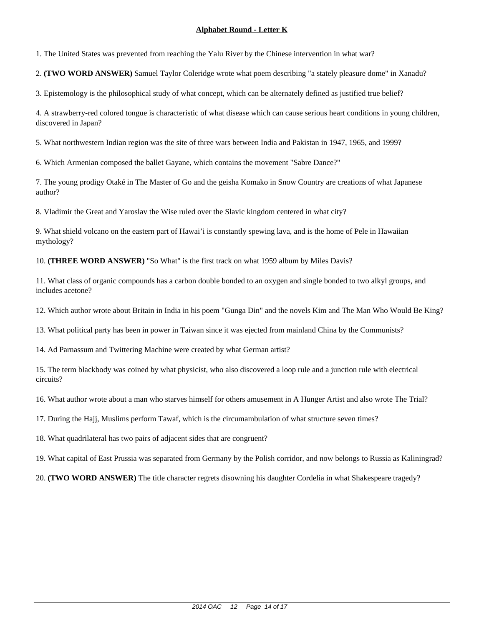1. The United States was prevented from reaching the Yalu River by the Chinese intervention in what war?

2. **(TWO WORD ANSWER)** Samuel Taylor Coleridge wrote what poem describing "a stately pleasure dome" in Xanadu?

3. Epistemology is the philosophical study of what concept, which can be alternately defined as justified true belief?

4. A strawberry-red colored tongue is characteristic of what disease which can cause serious heart conditions in young children, discovered in Japan?

5. What northwestern Indian region was the site of three wars between India and Pakistan in 1947, 1965, and 1999?

6. Which Armenian composed the ballet Gayane, which contains the movement "Sabre Dance?"

7. The young prodigy Otaké in The Master of Go and the geisha Komako in Snow Country are creations of what Japanese author?

8. Vladimir the Great and Yaroslav the Wise ruled over the Slavic kingdom centered in what city?

9. What shield volcano on the eastern part of Hawai'i is constantly spewing lava, and is the home of Pele in Hawaiian mythology?

10. **(THREE WORD ANSWER)** "So What" is the first track on what 1959 album by Miles Davis?

11. What class of organic compounds has a carbon double bonded to an oxygen and single bonded to two alkyl groups, and includes acetone?

12. Which author wrote about Britain in India in his poem "Gunga Din" and the novels Kim and The Man Who Would Be King?

13. What political party has been in power in Taiwan since it was ejected from mainland China by the Communists?

14. Ad Parnassum and Twittering Machine were created by what German artist?

15. The term blackbody was coined by what physicist, who also discovered a loop rule and a junction rule with electrical circuits?

16. What author wrote about a man who starves himself for others amusement in A Hunger Artist and also wrote The Trial?

17. During the Hajj, Muslims perform Tawaf, which is the circumambulation of what structure seven times?

18. What quadrilateral has two pairs of adjacent sides that are congruent?

19. What capital of East Prussia was separated from Germany by the Polish corridor, and now belongs to Russia as Kaliningrad?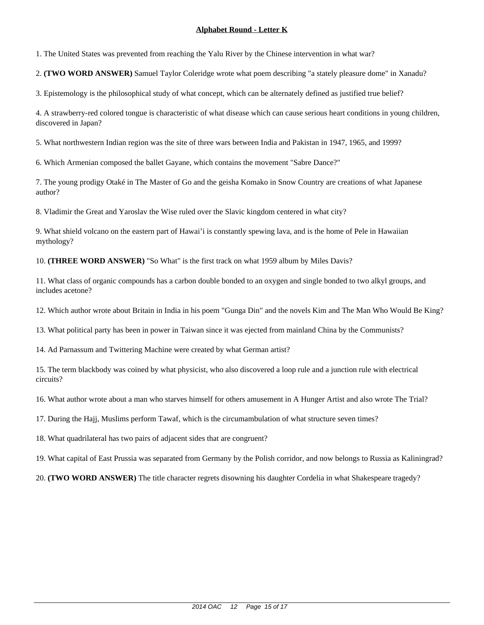1. The United States was prevented from reaching the Yalu River by the Chinese intervention in what war?

2. **(TWO WORD ANSWER)** Samuel Taylor Coleridge wrote what poem describing "a stately pleasure dome" in Xanadu?

3. Epistemology is the philosophical study of what concept, which can be alternately defined as justified true belief?

4. A strawberry-red colored tongue is characteristic of what disease which can cause serious heart conditions in young children, discovered in Japan?

5. What northwestern Indian region was the site of three wars between India and Pakistan in 1947, 1965, and 1999?

6. Which Armenian composed the ballet Gayane, which contains the movement "Sabre Dance?"

7. The young prodigy Otaké in The Master of Go and the geisha Komako in Snow Country are creations of what Japanese author?

8. Vladimir the Great and Yaroslav the Wise ruled over the Slavic kingdom centered in what city?

9. What shield volcano on the eastern part of Hawai'i is constantly spewing lava, and is the home of Pele in Hawaiian mythology?

10. **(THREE WORD ANSWER)** "So What" is the first track on what 1959 album by Miles Davis?

11. What class of organic compounds has a carbon double bonded to an oxygen and single bonded to two alkyl groups, and includes acetone?

12. Which author wrote about Britain in India in his poem "Gunga Din" and the novels Kim and The Man Who Would Be King?

13. What political party has been in power in Taiwan since it was ejected from mainland China by the Communists?

14. Ad Parnassum and Twittering Machine were created by what German artist?

15. The term blackbody was coined by what physicist, who also discovered a loop rule and a junction rule with electrical circuits?

16. What author wrote about a man who starves himself for others amusement in A Hunger Artist and also wrote The Trial?

17. During the Hajj, Muslims perform Tawaf, which is the circumambulation of what structure seven times?

18. What quadrilateral has two pairs of adjacent sides that are congruent?

19. What capital of East Prussia was separated from Germany by the Polish corridor, and now belongs to Russia as Kaliningrad?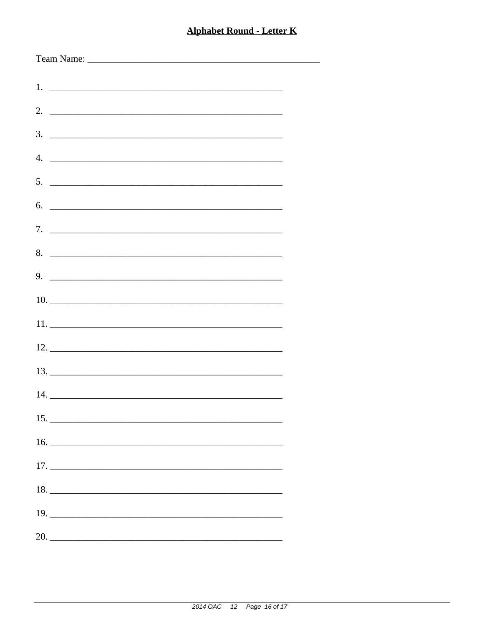| $\overline{4}$ .              |
|-------------------------------|
| $5.$ $\overline{\phantom{a}}$ |
| 6.                            |
|                               |
| 8.                            |
| $9.$ $\overline{\phantom{a}}$ |
|                               |
|                               |
|                               |
|                               |
|                               |
| 15.                           |
|                               |
|                               |
| 18.                           |
|                               |
| 20.                           |